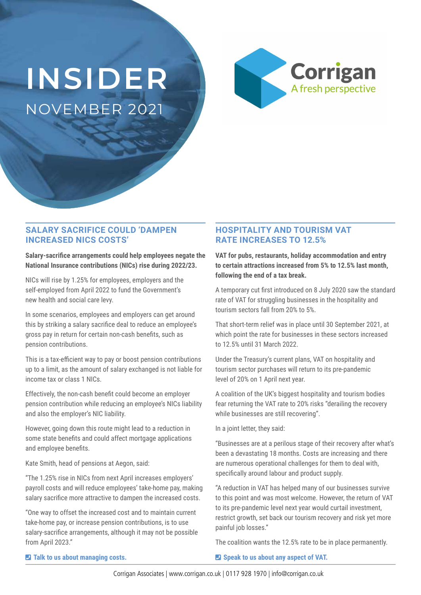# **INSIDER** NOVEMBER 2021



### **SALARY SACRIFICE COULD 'DAMPEN INCREASED NICS COSTS'**

**Salary-sacrifice arrangements could help employees negate the National Insurance contributions (NICs) rise during 2022/23.**

NICs will rise by 1.25% for employees, employers and the self-employed from April 2022 to fund the Government's new health and social care levy.

In some scenarios, employees and employers can get around this by striking a salary sacrifice deal to reduce an employee's gross pay in return for certain non-cash benefits, such as pension contributions.

This is a tax-efficient way to pay or boost pension contributions up to a limit, as the amount of salary exchanged is not liable for income tax or class 1 NICs.

Effectively, the non-cash benefit could become an employer pension contribution while reducing an employee's NICs liability and also the employer's NIC liability.

However, going down this route might lead to a reduction in some state benefits and could affect mortgage applications and employee benefits.

Kate Smith, head of pensions at Aegon, said:

"The 1.25% rise in NICs from next April increases employers' payroll costs and will reduce employees' take-home pay, making salary sacrifice more attractive to dampen the increased costs.

"One way to offset the increased cost and to maintain current take-home pay, or increase pension contributions, is to use salary-sacrifice arrangements, although it may not be possible from April 2023."

### **HOSPITALITY AND TOURISM VAT RATE INCREASES TO 12.5%**

**VAT for pubs, restaurants, holiday accommodation and entry to certain attractions increased from 5% to 12.5% last month, following the end of a tax break.**

A temporary cut first introduced on 8 July 2020 saw the standard rate of VAT for struggling businesses in the hospitality and tourism sectors fall from 20% to 5%.

That short-term relief was in place until 30 September 2021, at which point the rate for businesses in these sectors increased to 12.5% until 31 March 2022.

Under the Treasury's current plans, VAT on hospitality and tourism sector purchases will return to its pre-pandemic level of 20% on 1 April next year.

A coalition of the UK's biggest hospitality and tourism bodies fear returning the VAT rate to 20% risks "derailing the recovery while businesses are still recovering".

In a joint letter, they said:

"Businesses are at a perilous stage of their recovery after what's been a devastating 18 months. Costs are increasing and there are numerous operational challenges for them to deal with, specifically around labour and product supply.

"A reduction in VAT has helped many of our businesses survive to this point and was most welcome. However, the return of VAT to its pre-pandemic level next year would curtail investment, restrict growth, set back our tourism recovery and risk yet more painful job losses."

The coalition wants the 12.5% rate to be in place permanently.

¶ **Talk to us about managing costs.**

 $\blacksquare$  Speak to us about any aspect of VAT.